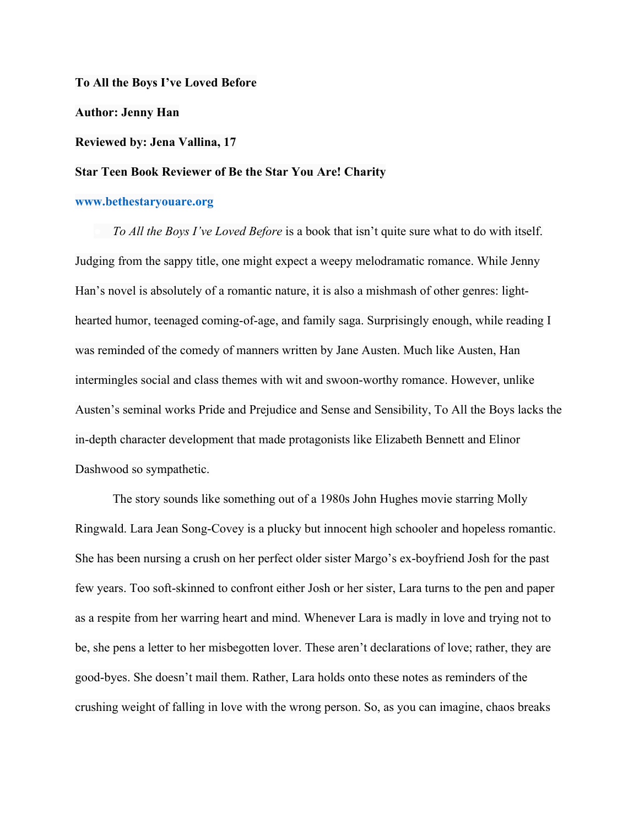**To All the Boys I've Loved Before Author: Jenny Han Reviewed by: Jena Vallina, 17 Star Teen Book Reviewer of Be the Star You Are! Charity**

## **www.bethestaryouare.org**

*To All the Boys I've Loved Before* is a book that isn't quite sure what to do with itself. Judging from the sappy title, one might expect a weepy melodramatic romance. While Jenny Han's novel is absolutely of a romantic nature, it is also a mishmash of other genres: lighthearted humor, teenaged coming-of-age, and family saga. Surprisingly enough, while reading I was reminded of the comedy of manners written by Jane Austen. Much like Austen, Han intermingles social and class themes with wit and swoon-worthy romance. However, unlike Austen's seminal works Pride and Prejudice and Sense and Sensibility, To All the Boys lacks the in-depth character development that made protagonists like Elizabeth Bennett and Elinor Dashwood so sympathetic.

The story sounds like something out of a 1980s John Hughes movie starring Molly Ringwald. Lara Jean Song-Covey is a plucky but innocent high schooler and hopeless romantic. She has been nursing a crush on her perfect older sister Margo's ex-boyfriend Josh for the past few years. Too soft-skinned to confront either Josh or her sister, Lara turns to the pen and paper as a respite from her warring heart and mind. Whenever Lara is madly in love and trying not to be, she pens a letter to her misbegotten lover. These aren't declarations of love; rather, they are good-byes. She doesn't mail them. Rather, Lara holds onto these notes as reminders of the crushing weight of falling in love with the wrong person. So, as you can imagine, chaos breaks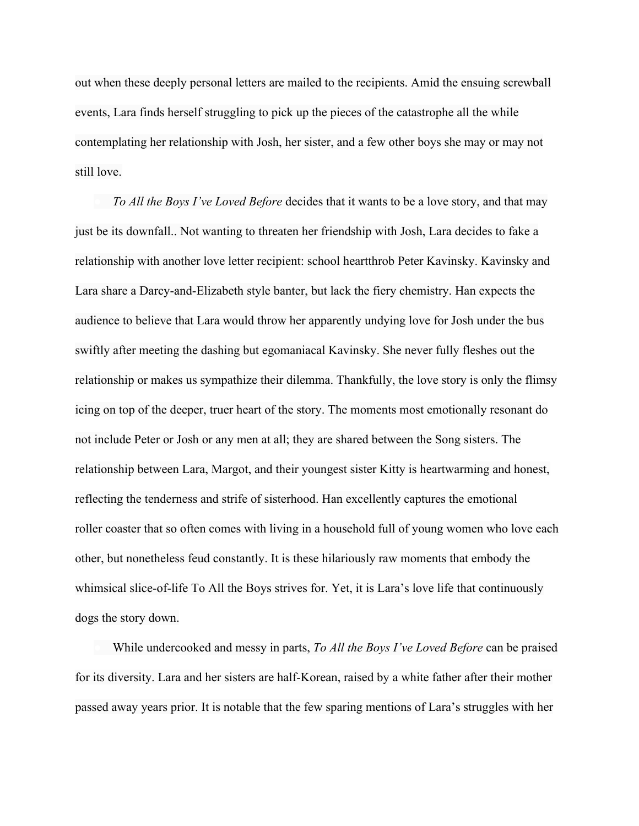out when these deeply personal letters are mailed to the recipients. Amid the ensuing screwball events, Lara finds herself struggling to pick up the pieces of the catastrophe all the while contemplating her relationship with Josh, her sister, and a few other boys she may or may not still love.

*To All the Boys I've Loved Before* decides that it wants to be a love story, and that may just be its downfall.. Not wanting to threaten her friendship with Josh, Lara decides to fake a relationship with another love letter recipient: school heartthrob Peter Kavinsky. Kavinsky and Lara share a Darcy-and-Elizabeth style banter, but lack the fiery chemistry. Han expects the audience to believe that Lara would throw her apparently undying love for Josh under the bus swiftly after meeting the dashing but egomaniacal Kavinsky. She never fully fleshes out the relationship or makes us sympathize their dilemma. Thankfully, the love story is only the flimsy icing on top of the deeper, truer heart of the story. The moments most emotionally resonant do not include Peter or Josh or any men at all; they are shared between the Song sisters. The relationship between Lara, Margot, and their youngest sister Kitty is heartwarming and honest, reflecting the tenderness and strife of sisterhood. Han excellently captures the emotional roller coaster that so often comes with living in a household full of young women who love each other, but nonetheless feud constantly. It is these hilariously raw moments that embody the whimsical slice-of-life To All the Boys strives for. Yet, it is Lara's love life that continuously dogs the story down.

While undercooked and messy in parts, *To All the Boys I've Loved Before* can be praised for its diversity. Lara and her sisters are half-Korean, raised by a white father after their mother passed away years prior. It is notable that the few sparing mentions of Lara's struggles with her